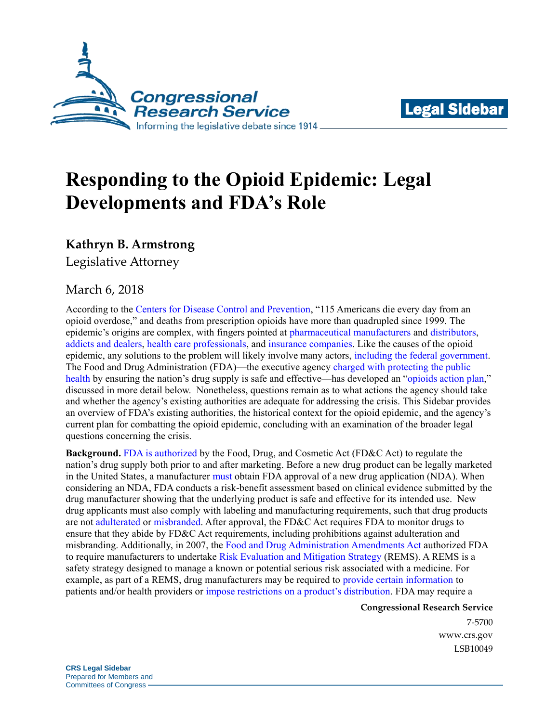



## **Responding to the Opioid Epidemic: Legal Developments and FDA's Role**

## **Kathryn B. Armstrong**

Legislative Attorney

## March 6, 2018

According to the [Centers for Disease Control](https://www.cdc.gov/drugoverdose/epidemic/index.html) and Prevention, "115 Americans die every day from an opioid overdose," and deaths from prescription opioids have more than quadrupled since 1999. The epidemic's origins are complex, with fingers pointed at [pharmaceutical](https://www.theatlantic.com/business/archive/2017/06/lawsuit-pharmaceutical-companies-opioids/529020/) manufacturers and [distributors,](http://fortune.com/2017/06/13/fortune-500-mckesson-opioid-epidemic/) [addicts and dealers,](http://fortune.com/2017/06/21/opioid-epidemic-blame-doctors/) [health care professionals,](https://www.newyorker.com/business/currency/who-is-responsible-for-the-pain-pill-epidemic) and [insurance companies.](https://www.nytimes.com/2017/09/17/health/opioid-painkillers-insurance-companies.html?_r=0) Like the causes of the opioid epidemic, any solutions to the problem will likely involve many actors, [including the federal government.](https://fas.org/sgp/crs/misc/R44987.pdf) The Food and Drug Administration (FDA)—the executive agency [charged with protecting the public](http://uscode.house.gov/view.xhtml?req=(title:21%20section:393%20edition:prelim))  [health](http://uscode.house.gov/view.xhtml?req=(title:21%20section:393%20edition:prelim)) by ensuring the nation's drug supply is safe and effective—has developed an "opioids [action plan,](https://www.fda.gov/drugs/drugsafety/informationbydrugclass/ucm484714.htm)" discussed in more detail below. Nonetheless, questions remain as to what actions the agency should take and whether the agency's existing authorities are adequate for addressing the crisis. This Sidebar provides an overview of FDA's existing authorities, the historical context for the opioid epidemic, and the agency's current plan for combatting the opioid epidemic, concluding with an examination of the broader legal questions concerning the crisis.

**Background.** [FDA is authorized](http://uscode.house.gov/view.xhtml?req=(title:21%20section:393%20edition:prelim)) by the Food, Drug, and Cosmetic Act (FD&C Act) to regulate the nation's drug supply both prior to and after marketing. Before a new drug product can be legally marketed in the United States, a manufacturer [must](http://uscode.house.gov/view.xhtml?req=granuleid:USC-prelim-title21-section355&num=0&edition=prelim) obtain FDA approval of a new drug application (NDA). When considering an NDA, FDA conducts a risk-benefit assessment based on clinical evidence submitted by the drug manufacturer showing that the underlying product is safe and effective for its intended use. New drug applicants must also comply with labeling and manufacturing requirements, such that drug products are not [adulterated](https://www.law.cornell.edu/uscode/text/21/351) or [misbranded.](https://www.law.cornell.edu/uscode/text/21/352) After approval, the FD&C Act requires FDA to monitor drugs to ensure that they abide by FD&C Act requirements, including prohibitions against adulteration and misbranding. Additionally, in 2007, the [Food and Drug Administration Amendments Act](https://www.google.com/url?sa=t&rct=j&q=&esrc=s&source=web&cd=7&ved=0ahUKEwihkpyywZTYAhXok-AKHV7UAUMQFghUMAY&url=https%3A%2F%2Fwww.gpo.gov%2Ffdsys%2Fpkg%2FPLAW-110publ85%2Fpdf%2FPLAW-110publ85.pdf&usg=AOvVaw2HAOkq_Uxw4ah1RvQbFXmo) authorized FDA to require manufacturers to undertake [Risk Evaluation and Mitigation Strategy](https://www.fda.gov/AboutFDA/Transparency/Basics/ucm325201.htm) (REMS). A REMS is a safety strategy designed to manage a known or potential serious risk associated with a medicine. For example, as part of a REMS, drug manufacturers may be required to [provide certain information](https://www.google.com/url?sa=t&rct=j&q=&esrc=s&source=web&cd=1&ved=0ahUKEwj2r_Kb57zYAhVMYt8KHfBxCDsQFggpMAA&url=https%3A%2F%2Fwww.fda.gov%2Fdownloads%2FForIndustry%2FUserFees%2FPrescriptionDrugUserFee%2FUCM361110.htm&usg=AOvVaw3q9_XhRs6erhkfMdEuykEe) to patients and/or health providers or [impose restrictions on a product's distribution.](https://www.fda.gov/Drugs/DrugSafety/ucm255005.htm) FDA may require a

> **Congressional Research Service** 7-5700 [www.crs.gov](http://www.crs.gov/) LSB10049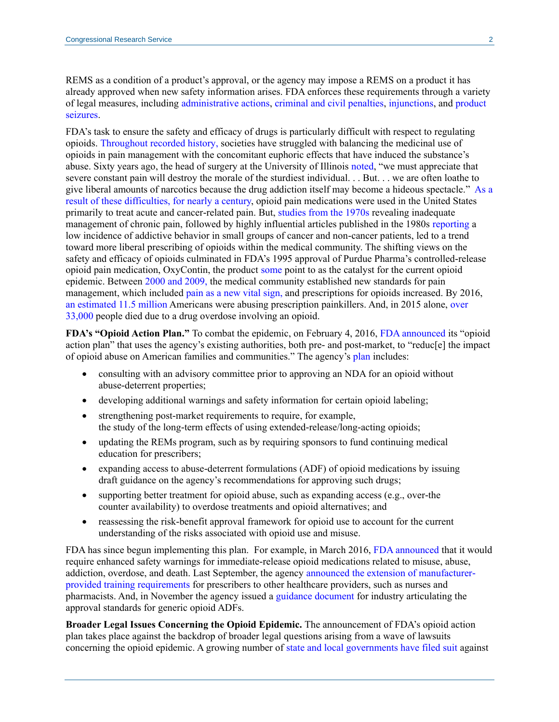REMS as a condition of a product's approval, or the agency may impose a REMS on a product it has already approved when new safety information arises. FDA enforces these requirements through a variety of legal measures, including [administrative actions,](https://www.fda.gov/ICECI/ComplianceManuals/RegulatoryProceduresManual/ucm2005380.htm) [criminal and civil penalties,](https://www.law.cornell.edu/uscode/text/21/333) [injunctions,](https://www.law.cornell.edu/uscode/text/21/332) and [product](https://www.law.cornell.edu/uscode/text/21/334)  [seizures.](https://www.law.cornell.edu/uscode/text/21/334)

FDA's task to ensure the safety and efficacy of drugs is particularly difficult with respect to regulating opioids. [Throughout recorded history,](http://www.theatlantic.com/sponsored/purdue-health/a-brief-history-of-opioids/184/) societies have struggled with balancing the medicinal use of opioids in pain management with the concomitant euphoric effects that have induced the substance's abuse. Sixty years ago, the head of surgery at the University of Illinois [noted,](https://www.ncbi.nlm.nih.gov/pmc/articles/PMC4940677/) "we must appreciate that severe constant pain will destroy the morale of the sturdiest individual. . . But. . . we are often loathe to give liberal amounts of narcotics because the drug addiction itself may become a hideous spectacle." [As a](https://www.fda.gov/Drugs/DrugSafety/InformationbyDrugClass/ucm338566.htm)  [result of these difficulties, for](https://www.fda.gov/Drugs/DrugSafety/InformationbyDrugClass/ucm338566.htm) nearly a century, opioid pain medications were used in the United States primarily to treat acute and cancer-related pain. But, [studies from the 1970s](https://www.ncbi.nlm.nih.gov/pmc/articles/PMC4940677/#bib3) revealing inadequate management of chronic pain, followed by highly influential articles published in the 1980s [reporting](https://www.ncbi.nlm.nih.gov/pmc/articles/PMC4940677/) a low incidence of addictive behavior in small groups of cancer and non-cancer patients, led to a trend toward more liberal prescribing of opioids within the medical community. The shifting views on the safety and efficacy of opioids culminated in FDA's 1995 approval of Purdue Pharma's controlled-release opioid pain medication, OxyContin, the product [some](http://www.latimes.com/projects/la-me-oxycontin-full-coverage/) point to as the catalyst for the current opioid epidemic. Between [2000 and 2009,](http://www.theatlantic.com/sponsored/purdue-health/a-brief-history-of-opioids/184/) the medical community established new standards for pain management, which included pain [as a new vital sign,](https://www.ncbi.nlm.nih.gov/pmc/articles/PMC3888154/) and prescriptions for opioids increased. By 2016, [an estimated 11.5 million](https://fas.org/sgp/crs/misc/R44987.pdf) Americans were abusing prescription painkillers. And, in 2015 alone, [over](https://www.cdc.gov/mmwr/volumes/65/wr/mm655051e1.htm)  [33,000](https://www.cdc.gov/mmwr/volumes/65/wr/mm655051e1.htm) people died due to a drug overdose involving an opioid.

**FDA's "Opioid Action Plan."** To combat the epidemic, on February 4, 2016, [FDA announced](https://www.fda.gov/NewsEvents/Newsroom/PressAnnouncements/ucm484765.htm) its "opioid action plan" that uses the agency's existing authorities, both pre- and post-market, to "reduc[e] the impact of opioid abuse on American families and communities." The agency'[s plan](https://www.fda.gov/drugs/drugsafety/informationbydrugclass/ucm484714.htm) includes:

- consulting with an advisory committee prior to approving an NDA for an opioid without abuse-deterrent properties;
- developing additional warnings and safety information for certain opioid labeling;
- strengthening post-market requirements to require, for example, the study of the long-term effects of using extended-release/long-acting opioids;
- updating the REMs program, such as by requiring sponsors to fund continuing medical education for prescribers;
- expanding access to abuse-deterrent formulations (ADF) of opioid medications by issuing draft guidance on the agency's recommendations for approving such drugs;
- supporting better treatment for opioid abuse, such as expanding access (e.g., over-the counter availability) to overdose treatments and opioid alternatives; and
- reassessing the risk-benefit approval framework for opioid use to account for the current understanding of the risks associated with opioid use and misuse.

FDA has since begun implementing this plan. For example, in March 2016, [FDA announced](https://www.fda.gov/Drugs/DrugSafety/InformationbyDrugClass/ucm491437.htm) that it would require enhanced safety warnings for immediate-release opioid medications related to misuse, abuse, addiction, overdose, and death. Last September, the agency [announced the extension of manufacturer](https://blogs.fda.gov/fdavoice/index.php/2017/09/fda-takes-important-steps-to-stem-the-tide-of-opioid-misuse-and-abuse/)[provided training requirements](https://blogs.fda.gov/fdavoice/index.php/2017/09/fda-takes-important-steps-to-stem-the-tide-of-opioid-misuse-and-abuse/) for prescribers to other healthcare providers, such as nurses and pharmacists. And, in November the agency issued a [guidance document](https://www.fda.gov/downloads/Drugs/.../Guidances/UCM492172.pdf) for industry articulating the approval standards for generic opioid ADFs.

**Broader Legal Issues Concerning the Opioid Epidemic.** The announcement of FDA's opioid action plan takes place against the backdrop of broader legal questions arising from a wave of lawsuits concerning the opioid epidemic. A growing number of [state and local governments have filed suit](http://www.governing.com/topics/health-human-services/gov-opioid-lawsuits-companies-states-cities.html) against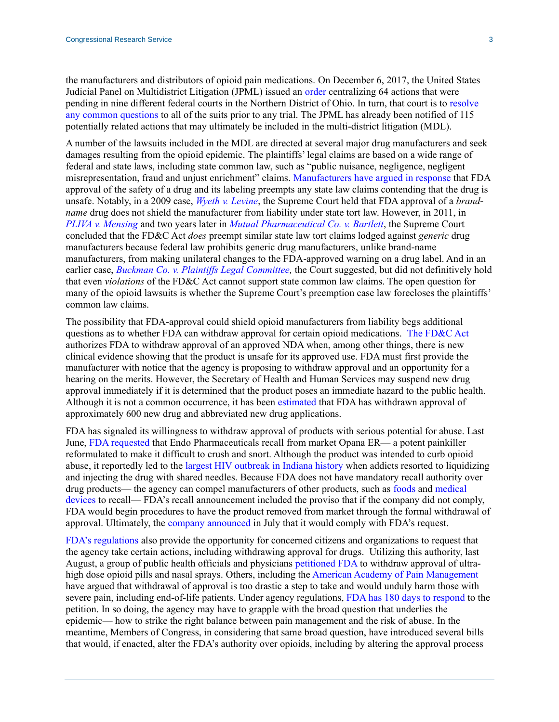the manufacturers and distributors of opioid pain medications. On December 6, 2017, the United States Judicial Panel on Multidistrict Litigation (JPML) issued an [order](https://www.google.com/url?sa=t&rct=j&q=&esrc=s&source=web&cd=2&ved=0ahUKEwjt-YGboJ7YAhVHGt8KHX4FAUsQFggvMAE&url=http%3A%2F%2Fwww.jpml.uscourts.gov%2Fsites%2Fjpml%2Ffiles%2FMDL-2804-Initial-Transfer-11-17.pdf&usg=AOvVaw1YowLc_ifxu1ga7Eo1B6KX) centralizing 64 actions that were pending in nine different federal courts in the Northern District of Ohio. In turn, that court is to [resolve](https://www.law.cornell.edu/uscode/text/28/1407)  [any common questions](https://www.law.cornell.edu/uscode/text/28/1407) to all of the suits prior to any trial. The JPML has already been notified of 115 potentially related actions that may ultimately be included in the multi-district litigation (MDL).

A number of the lawsuits included in the MDL are directed at several major drug manufacturers and seek damages resulting from the opioid epidemic. The plaintiffs' legal claims are based on a wide range of federal and state laws, including state common law, such as "public nuisance, negligence, negligent misrepresentation, fraud and unjust enrichment" claims. [Manufacturers have argued](https://www.bloomberg.com/news/articles/2017-09-09/ohio-s-opioid-suit-should-be-thrown-out-purdue-pharma-argues) in response that FDA approval of the safety of a drug and its labeling preempts any state law claims contending that the drug is unsafe. Notably, in a 2009 case, *[Wyeth v. Levine](https://scholar.google.com/scholar_case?case=9985526891195594978&q=wyeth+v+levine&hl=en&as_sdt=20006)*, the Supreme Court held that FDA approval of a *brandname* drug does not shield the manufacturer from liability under state tort law. However, in 2011, in *[PLIVA v. Mensing](https://scholar.google.com/scholar_case?case=15669405712768599023&q=pliva+v.+mensing&hl=en&as_sdt=20006)* and two years later in *[Mutual Pharmaceutical Co. v. Bartlett](https://www.supremecourt.gov/opinions/12pdf/12-142_8njq.pdf)*, the Supreme Court concluded that the FD&C Act *does* preempt similar state law tort claims lodged against *generic* drug manufacturers because federal law prohibits generic drug manufacturers, unlike brand-name manufacturers, from making unilateral changes to the FDA-approved warning on a drug label. And in an earlier case, *Buckman Co. v. Plaintiffs Legal Committee*, the Court suggested, but did not definitively hold that even *violations* of the FD&C Act cannot support state common law claims. The open question for many of the opioid lawsuits is whether the Supreme Court's preemption case law forecloses the plaintiffs' common law claims.

The possibility that FDA-approval could shield opioid manufacturers from liability begs additional questions as to whether FDA can withdraw approval for certain opioid medications. The [FD&C Act](https://www.law.cornell.edu/uscode/text/21/355) authorizes FDA to withdraw approval of an approved NDA when, among other things, there is new clinical evidence showing that the product is unsafe for its approved use. FDA must first provide the manufacturer with notice that the agency is proposing to withdraw approval and an opportunity for a hearing on the merits. However, the Secretary of Health and Human Services may suspend new drug approval immediately if it is determined that the product poses an immediate hazard to the public health. Although it is not a common occurrence, it has been [estimated](http://www.fdalawblog.net/2015/06/how-often-are-drugs-withdrawn-for-safety-or-effectiveness-reasons-and-how-many-not-too-often-in-rece/) that FDA has withdrawn approval of approximately 600 new drug and abbreviated new drug applications.

FDA has signaled its willingness to withdraw approval of products with serious potential for abuse. Last June, [FDA requested](https://www.fda.gov/NewsEvents/Newsroom/PressAnnouncements/ucm562401.htm) that Endo Pharmaceuticals recall from market Opana ER— a potent painkiller reformulated to make it difficult to crush and snort. Although the product was intended to curb opioid abuse, it reportedly led to the [largest HIV outbreak in Indiana history](http://time.com/4849361/opioid-opana-er-fda/) when addicts resorted to liquidizing and injecting the drug with shared needles. Because FDA does not have mandatory recall authority over drug products— the agency can compel manufacturers of other products, such as [foods](https://www.law.cornell.edu/uscode/text/21/350l) and [medical](https://www.law.cornell.edu/uscode/text/21/360h)  [devices](https://www.law.cornell.edu/uscode/text/21/360h) to recall— FDA's recall announcement included the proviso that if the company did not comply, FDA would begin procedures to have the product removed from market through the formal withdrawal of approval. Ultimately, the [company announced](http://investor.endo.com/news-releases/news-release-details/endo-provides-update-opanar-er) in July that it would comply with FDA's request.

[FDA's regulations](https://www.accessdata.fda.gov/scripts/cdrh/cfdocs/cfcfr/CFRSearch.cfm?fr=10.30) also provide the opportunity for concerned citizens and organizations to request that the agency take certain actions, including withdrawing approval for drugs. Utilizing this authority, last August, a group of public health officials and physicians [petitioned FDA](http://i2.cdn.turner.com/cnn/2017/images/08/31/citizen.petition.uhdu.opioids.8.30.17.final.pdf) to withdraw approval of ultra-high dose opioid pills and nasal sprays. Others, including the [American Academy of Pain Management](http://www.painmed.org/files/aapm-response-to-citizens-petition-of-fda.pdf) have argued that withdrawal of approval is too drastic a step to take and would unduly harm those with severe pain, including end-of-life patients. Under agency regulations, [FDA has 180 days to respond](https://www.accessdata.fda.gov/scripts/cdrh/cfdocs/cfcfr/CFRSearch.cfm?fr=10.30) to the petition. In so doing, the agency may have to grapple with the broad question that underlies the epidemic— how to strike the right balance between pain management and the risk of abuse. In the meantime, Members of Congress, in considering that same broad question, have introduced several bills that would, if enacted, alter the FDA's authority over opioids, including by altering the approval process